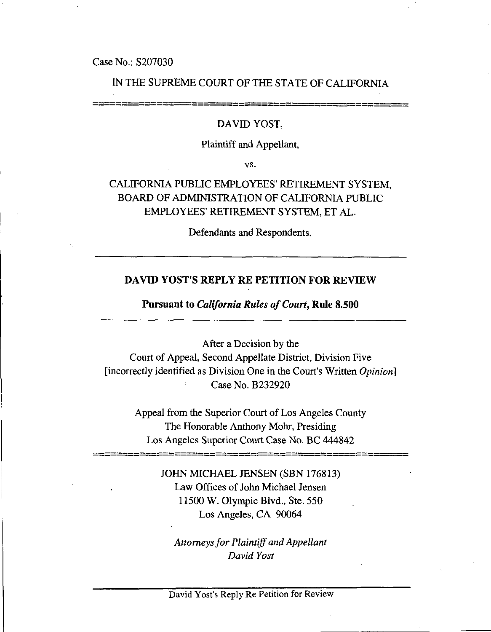Case No.: S207030

## IN THE SUPREME COURT OF THE STATE OF CALIFORNIA

#### DAVID YOST,

#### Plaintiff and Appellant,

vs.

CALIFORNIA PUBLIC EMPLOYEES' RETIREMENT SYSTEM, BOARD OF ADMINISTRATION OF CALIFORNIA PUBLIC EMPLOYEES' RETIREMENT SYSTEM, ET AL.

Defendants and Respondents.

#### **DAVID YOST'S REPLY RE PETITION FOR REVIEW**

#### **Pursuant to** *California Rules of Court,* **Rule 8.500**

After a Decision by the Court of Appeal, Second Appellate District, Division Five [incorrectly identified as Division One in the Court's Written *Opinion]* Case No. B232920

> Appeal from the Superior Court of Los Angeles County The Honorable Anthony Mohr, Presiding Los Angeles Superior Court Case No. BC 444842

> > JOHN MICHAEL JENSEN (SBN 176813) Law Offices of John Michael Jensen 11500 W. Olympic Blvd., Ste. 550 Los Angeles, CA 90064

*Attorneys for Plaintiff and Appellant David Yost*

David Yost's Reply Re Petition for Review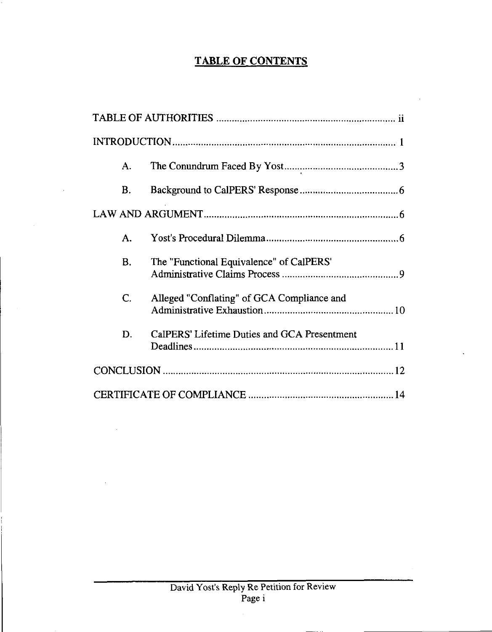# **TABLE OF CONTENTS**

| А.        |                                              |  |
|-----------|----------------------------------------------|--|
| Β.        |                                              |  |
|           |                                              |  |
| A.        |                                              |  |
| <b>B.</b> | The "Functional Equivalence" of CalPERS'     |  |
| C.        | Alleged "Conflating" of GCA Compliance and   |  |
| D.        | CalPERS' Lifetime Duties and GCA Presentment |  |
|           |                                              |  |
|           |                                              |  |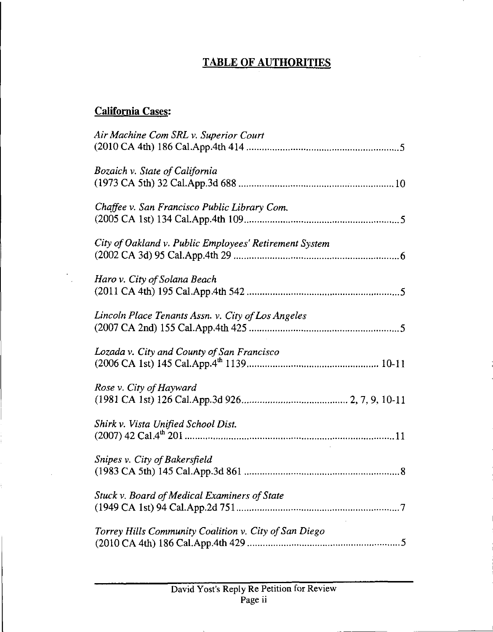# **TABLE OF AUTHORITIES**

# **California Cases:**

 $\frac{1}{\sqrt{2}}\sum_{i=1}^{n} \frac{1}{\sqrt{2}}\left(\frac{1}{\sqrt{2}}\right)^2$ 

ţ.

| Air Machine Com SRL v. Superior Court                  |
|--------------------------------------------------------|
|                                                        |
|                                                        |
| Bozaich v. State of California                         |
|                                                        |
|                                                        |
| Chaffee v. San Francisco Public Library Com.           |
|                                                        |
|                                                        |
| City of Oakland v. Public Employees' Retirement System |
|                                                        |
|                                                        |
| Haro v. City of Solana Beach                           |
|                                                        |
|                                                        |
| Lincoln Place Tenants Assn. v. City of Los Angeles     |
|                                                        |
|                                                        |
| Lozada v. City and County of San Francisco             |
|                                                        |
|                                                        |
| Rose v. City of Hayward                                |
|                                                        |
|                                                        |
| Shirk v. Vista Unified School Dist.                    |
|                                                        |
|                                                        |
| Snipes v. City of Bakersfield                          |
|                                                        |
|                                                        |
| Stuck v. Board of Medical Examiners of State           |
|                                                        |
|                                                        |
| Torrey Hills Community Coalition v. City of San Diego  |
|                                                        |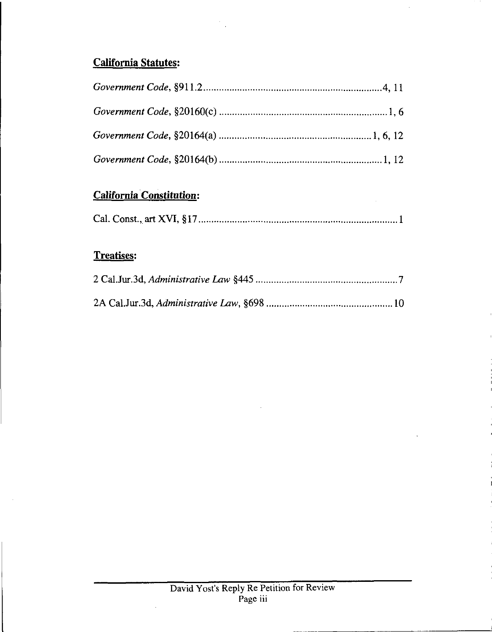# California Statutes:

J.

# California Constitution:

 $\bar{z}$ 

|--|--|

# Treatises:

 $\bar{\alpha}$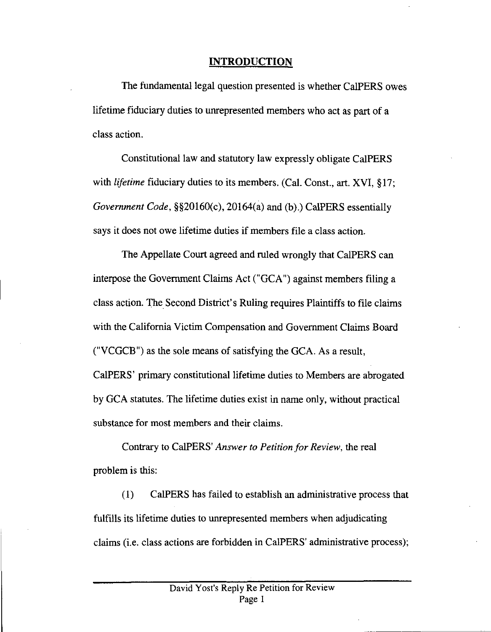### **INTRODUCTION**

The fundamental legal question presented is whether CalPERS owes lifetime fiduciary duties to unrepresented members who act as part of a class action.

Constitutional law and statutory law expressly obligate CalPERS with *lifetime* fiduciary duties to its members. (Cal. Const., art. XVI, §17; *Government Code, §§20160(c),* 20164(a) and (b).) CalPERS essentially says it does not owe lifetime duties if members file a class action.

The Appellate Court agreed and ruled wrongly that CalPERS can interpose the Government Claims Act ("GCA") against members filing a class action. The Second District's Ruling requires Plaintiffs to file claims with the California Victim Compensation and Government Claims Board ("VCGCB") as the sole means of satisfying the GCA. As a result, CalPERS' primary constitutional lifetime duties to Members are abrogated by GCA statutes. The lifetime duties exist in name only, without practical substance for most members and their claims.

Contrary to CalPERS' *Answer to Petition for Review,* the real problem is this:

(1) CalPERS has failed to establish an administrative process that fulfills its lifetime duties to unrepresented members when adjudicating claims (i.e. class actions are forbidden in CalPERS' administrative process);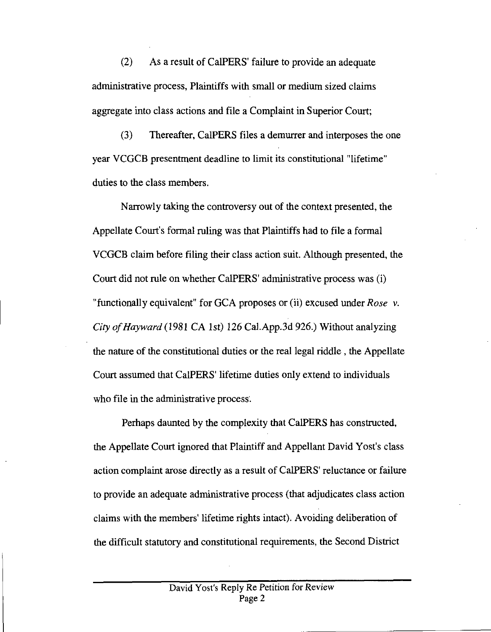(2) As a result of CalPERS' failure to provide an adequate administrative process, Plaintiffs with small or medium sized claims aggregate into class actions and file a Complaint in Superior Court;

(3) Thereafter, CalPERS files a demurrer and interposes the one year VCGCB presentment deadline to limit its constitutional "lifetime" duties to the class members.

Narrowly taking the controversy out of the context presented, the Appellate Court's formal ruling was that Plaintiffs had to file a formal VCGCB claim before filing their class action suit. Although presented, the Court did not rule on whether CalPERS' administrative process was (i) "functionally equivalent" for GCA proposes or (ii) excused under *Rose v. City of Hayward* (1981 CA 1st) 126 Cal.App.3d 926.) Without analyzing the nature of the constitutional duties or the real legal riddle, the Appellate Court assumed that CalPERS' lifetime duties only extend to individuals who file in the administrative process.

Perhaps daunted by the complexity that CalPERS has constructed, the Appellate Court ignored that Plaintiff and Appellant David Yost's class action complaint arose directly as a result of CalPERS' reluctance or failure to provide an adequate administrative process (that adjudicates class action claims with the members' lifetime rights intact). Avoiding deliberation of the difficult statutory and constitutional requirements, the Second District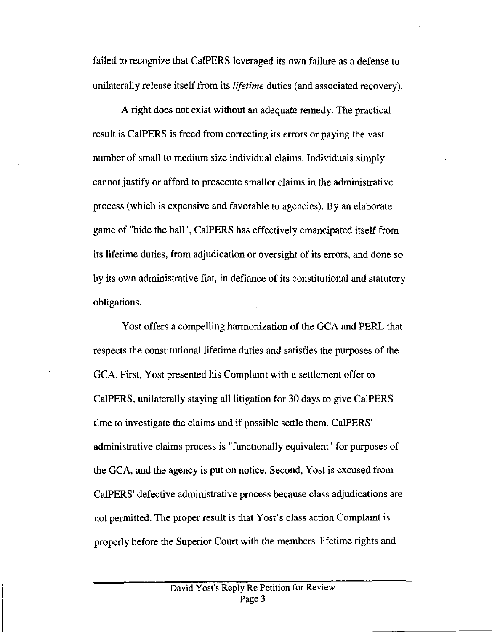failed to recognize that CalPERS leveraged its own failure as a defense to unilaterally release itself from its *lifetime* duties (and associated recovery).

A right does not exist without an adequate remedy. The practical result is CalPERS is freed from correcting its errors or paying the vast number of small to medium size individual claims. Individuals simply cannot justify or afford to prosecute smaller claims in the administrative process (which is expensive and favorable to agencies). By an elaborate game of "hide the ball", CalPERS has effectively emancipated itself from its lifetime duties, from adjudication or oversight of its errors, and done so by its own administrative fiat, in defiance of its constitutional and statutory obligations.

Yost offers a compelling harmonization of the GCA and PERL that respects the constitutional lifetime duties and satisfies the purposes of the GCA. First, Yost presented his Complaint with a settlement offer to CalPERS, unilaterally staying all litigation for 30 days to give CalPERS time to investigate the claims and if possible settle them. CalPERS' administrative claims process is "functionally equivalent" for purposes of the GCA, and the agency is put on notice. Second, Yost is excused from CalPERS' defective administrative process because class adjudications are not permitted. The proper result is that Yost's class action Complaint is properly before the Superior Court with the members' lifetime rights and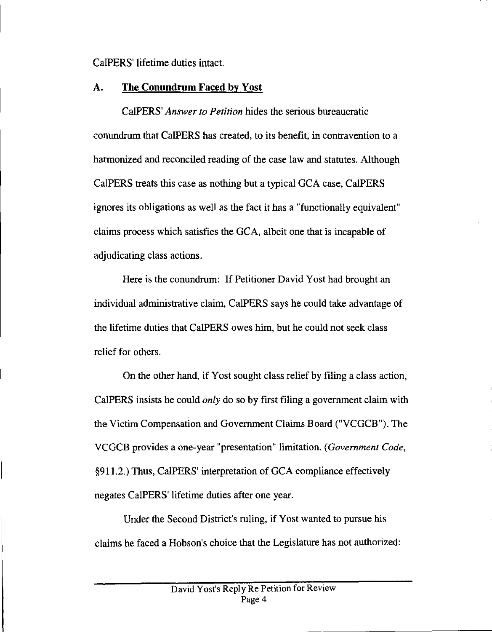CalPERS' lifetime duties intact.

## A. **The Conundrum Faced by Yost**

CalPERS' *Answer to Petition* hides the serious bureaucratic conundrum that CalPERS has created, to its benefit, in contravention to a harmonized and reconciled reading of the case law and statutes. Although CalPERS treats this case as nothing but a typical GCA case, CalPERS ignores its obligations as well as the fact it has a "functionally equivalent" claims process which satisfies the GCA, albeit one that is incapable of adjudicating class actions.

Here is the conundrum: If Petitioner David Yost had brought an individual administrative claim, CalPERS says he could take advantage of the lifetime duties that CalPERS owes him, but he could not seek class relief for others.

On the other hand, if Yost sought class relief by filing a class action, CalPERS insists he could *only* do so by first filing a government claim with the Victim Compensation and Government Claims Board ("VCGCB"). The VCGCB provides a one-year "presentation" limitation. *(Government Code,* §911.2.) Thus, CalPERS' interpretation of GCA compliance effectively negates CalPERS' lifetime duties after one year.

Under the Second District's ruling, if Yost wanted to pursue his claims he faced a Hobson's choice that the Legislature has not authorized: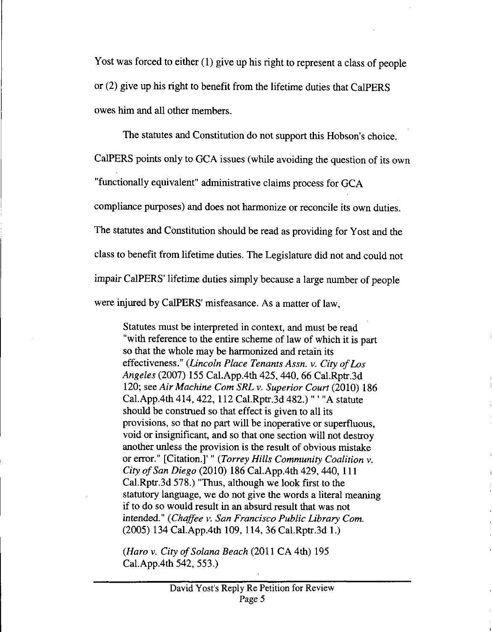Yost was forced to either (1) give up his right to represent a class of people or (2) give up his right to benefit from the lifetime duties that CalPERS owes him and all other members.

The statutes and Constitution do not support this Hobson's choice.

CalPERS points only to GCA issues (while avoiding the question of its own

"functionally equivalent" administrative claims process for GCA

compliance purposes) and does not harmonize or reconcile its own duties.

The statutes and Constitution should be read as providing for Yost and the

class to benefit from lifetime duties. The Legislature did not and could not

impair CalPERS' lifetime duties simply because a large number of people

were injured by CalPERS' misfeasance. As a matter of law,

Statutes must be interpreted in context, and must be read with reference to the entire scheme of law of which it is part so that the whole may be harmonized and retain its effectiveness." *(Lincoln Place Tenants Assn. v. City of Los Angeles* (2007) 155 Cal.App.4th 425, 440, 66 Cal.Rptr.3d 120; see *Air Machine Corn SRL v. Superior Court* (2010) 186 Cal.App.4th 414, 422, 112 Cal.Rptr.3d 482.) " ' "A statute should be construed so that effect is given to all its provisions, so that no part will be inoperative or superfluous, void or insignificant, and so that one section will not destroy another unless the provision is the result of obvious mistake or error." [Citation.]' " *(Torrey Hills Community Coalition v. City of San Diego* (2010) 186 Cal.App.4th 429,440, 111 Cal.Rptr.3d 578.) "Thus, although we look first to the statutory language, we do not give the words a literal meaning if to do so would result in an absurd result that was not intended." *(Chaffee v. San Francisco Public Library Corn.* (2005) 134 Cal.App.4th 109, 114, 36 Cal.Rptr.3d 1.)

*(Haro v. City of Solana Beach* (2011 CA 4th) 195 Cal.App.4th 542, 553.)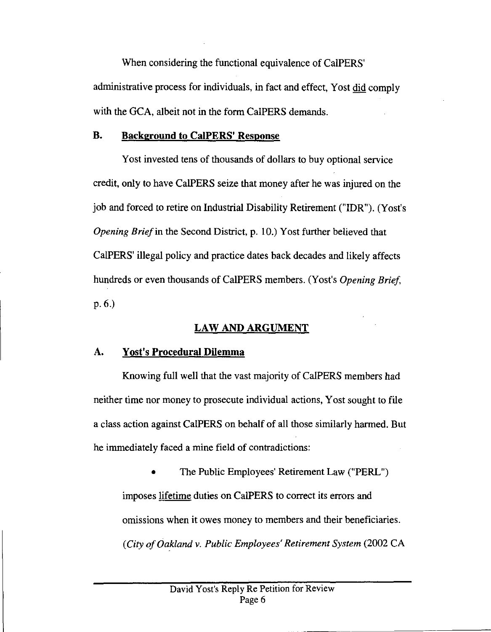When considering the functional equivalence of CalPERS' administrative process for individuals, in fact and effect, Yost did comply with the GCA, albeit not in the form CalPERS demands.

## **B. Background to CalPERS' Response**

Yost invested tens of thousands of dollars to buy optional service credit, only to have CalPERS seize that money after he was injured on the job and forced to retire on Industrial Disability Retirement ("IDR"). (Yost's *Opening Brief* in the Second District, p. 10.) Yost further believed that CalPERS' illegal policy and practice dates back decades and likely affects hundreds or even thousands of CalPERS members. (Yost's *Opening Brief* p. 6.)

## **LAW AND ARGUMENT**

## A. **Yost's Procedural Dilemma**

Knowing full well that the vast majority of CalPERS members had neither time nor money to prosecute individual actions, Yost sought to file a class action against CalPERS on behalf of all those similarly harmed. But he immediately faced a mine field of contradictions:

• The Public Employees' Retirement Law ("PERU) imposes lifetime duties on CalPERS to correct its errors and omissions when it owes money to members and their beneficiaries. *(City of Oakland v. Public Employees' Retirement System* (2002 CA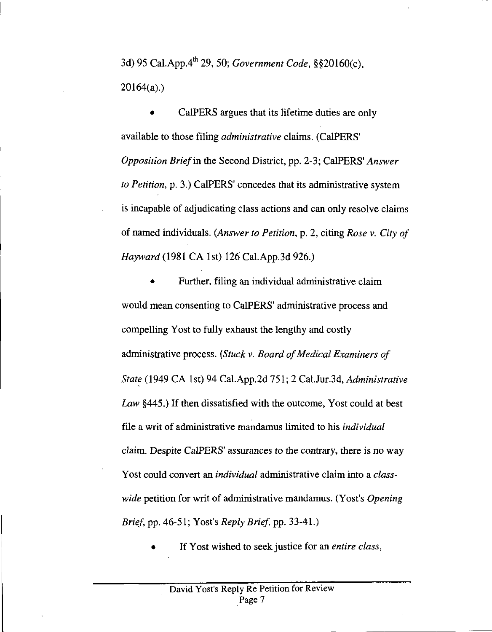3d) 95 Cal.App.4 th 29, 50; *Government Code,* §§20160(c), 20164(a).)

CalPERS argues that its lifetime duties are only available to those filing *administrative* claims. (CalPERS' *Opposition Brief* in the Second District, pp. 2-3; CalPERS' *Answer to Petition,* p. 3.) CalPERS' concedes that its administrative system is incapable of adjudicating class actions and can only resolve claims of named individuals. *(Answer to Petition,* p. 2, citing *Rose v. City of Hayward* (1981 CA 1st) 126 Cal.App.3d 926.)

• Further, filing an individual administrative claim would mean consenting to CalPERS' administrative process and compelling Yost to fully exhaust the lengthy and costly administrative process. *(Stuck v. Board of Medical Examiners of State* (1949 CA 1st) 94 Cal.App.2d 751; 2 Cal.Jur.3d, *Administrative Law* §445.) If then dissatisfied with the outcome, Yost could at best file a writ of administrative mandamus limited to his *individual* claim. Despite CalPERS' assurances to the contrary, there is no way Yost could convert an *individual* administrative claim into a *classwide* petition for writ of administrative mandamus. (Yost's *Opening Brief, pp. 46-51; Yost's <i>Reply Brief, pp. 33-41.*)

• If Yost wished to seek justice for an *entire class,*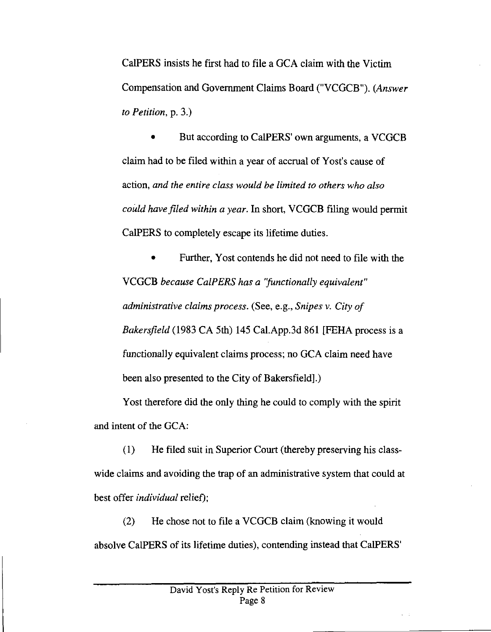CalPERS insists he first had to file a GCA claim with the Victim Compensation and Government Claims Board ("VCGCB"). *(Answer to Petition,* p. 3.)

• But according to CalPERS' own arguments, a VCGCB claim had to be filed within a year of accrual of Yost's cause of action, *and the entire class would be limited to others who also could have filed within a year.* In short, VCGCB filing would permit CalPERS to completely escape its lifetime duties.

Further, Yost contends he did not need to file with the VCGCB *because CalPERS has a 'functionally equivalent" administrative claims process.* (See, e.g., *Snipes v. City of Bakersfield* (1983 CA 5th) 145 Cal.App.3d 861 [FEHA process is a functionally equivalent claims process; no GCA claim need have been also presented to the City of Bakersfield].)

Yost therefore did the only thing he could to comply with the spirit and intent of the GCA:

(1) He filed suit in Superior Court (thereby preserving his classwide claims and avoiding the trap of an administrative system that could at best offer *individual* relief);

(2) He chose not to file a VCGCB claim (knowing it would absolve CalPERS of its lifetime duties), contending instead that CalPERS'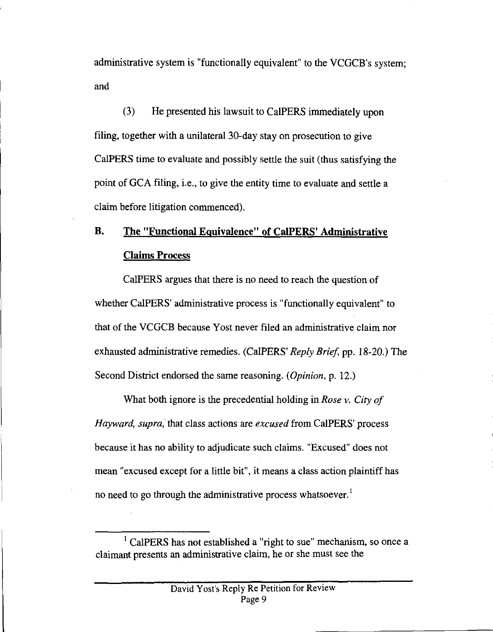administrative system is "functionally equivalent" to the VCGCB's system; and

(3) He presented his lawsuit to CalPERS immediately upon filing, together with a unilateral 30-day stay on prosecution to give CalPERS time to evaluate and possibly settle the suit (thus satisfying the point of GCA filing, i.e., to give the entity time to evaluate and settle a claim before litigation commenced).

# **B. The** "Functional Equivalence" of **CalPERS' Administrative Claims Process**

CalPERS argues that there is no need to reach the question of whether CalPERS' administrative process is "functionally equivalent" to that of the VCGCB because Yost never filed an administrative claim nor exhausted administrative remedies. (CalPERS' *Reply Brief*, pp. 18-20.) The Second District endorsed the same reasoning. *(Opinion,* p. 12.)

What both ignore is the precedential holding in *Rose v. City of Hayward, supra,* that class actions are *excused* from CalPERS' process because it has no ability to adjudicate such claims. "Excused" does not mean "excused except for a little bit", it means a class action plaintiff has no need to go through the administrative process whatsoever.<sup>1</sup>

 $<sup>1</sup>$  CalPERS has not established a "right to sue" mechanism, so once a</sup> claimant presents an administrative claim, he or she must see the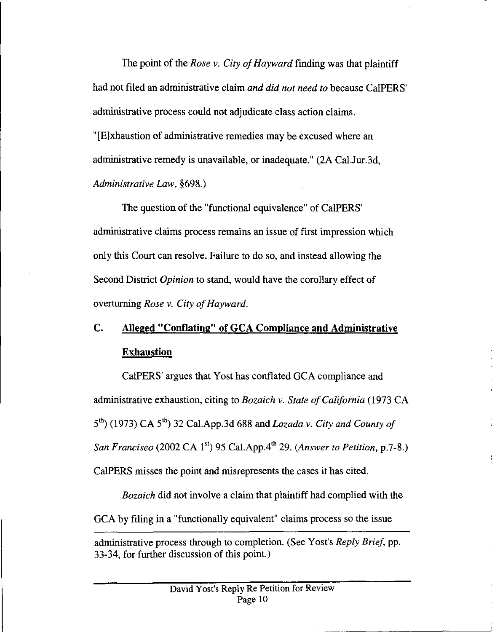The point of the *Rose v. City of Hayward* finding was that plaintiff had not filed an administrative claim *and did not need to* because CalPERS' administrative process could not adjudicate class action claims. "[E]xhaustion of administrative remedies may be excused where an administrative remedy is unavailable, or inadequate." (2A Cal.Jur.3d, *Administrative Law,* §698.)

The question of the "functional equivalence" of CalPERS' administrative claims process remains an issue of first impression which only this Court can resolve. Failure to do so, and instead allowing the Second District *Opinion* to stand, would have the corollary effect of overturning *Rose v. City of Hayward.*

# C. **Alleged** "Conflating" of GCA Compliance and Administrative **Exhaustion**

CalPERS' argues that Yost has conflated GCA compliance and administrative exhaustion, citing to *Bozaich v. State of California* (1973 CA  $5<sup>th</sup>$  (1973) CA  $5<sup>th</sup>$ ) 32 Cal.App.3d 688 and *Lozada v. City and County of San Francisco* (2002 CA 1<sup>st</sup>) 95 Cal.App.4<sup>th</sup> 29. *(Answer to Petition, p.7-8.)* CalPERS misses the point and misrepresents the cases it has cited.

*Bozaich* did not involve a claim that plaintiff had complied with the GCA by filing in a "functionally equivalent" claims process so the issue

administrative process through to completion. (See Yost's *Reply Brief*, pp. 33-34, for further discussion of this point.)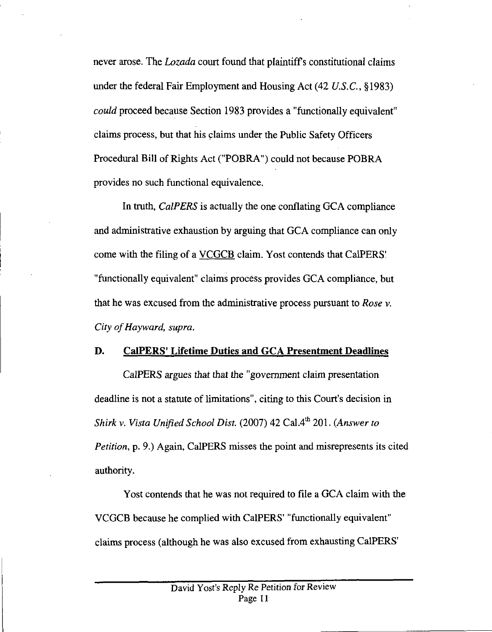never arose. The *Lozada* court found that plaintiff's constitutional claims under the federal Fair Employment and Housing Act (42 U.S.C., *§1983) could* proceed because Section 1983 provides a "functionally equivalent" claims process, but that his claims under the Public Safety Officers Procedural Bill of Rights Act ("POBRA") could not because POBRA provides no such functional equivalence.

In truth, *CalPERS* is actually the one conflating GCA compliance and administrative exhaustion by arguing that GCA compliance can only come with the filing of a VCGCB claim. Yost contends that CalPERS' "functionally equivalent" claims process provides GCA compliance, but that he was excused from the administrative process pursuant to *Rose v. City of Hayward, supra.*

#### **D. CalPERS' Lifetime Duties and GCA Presentment Deadlines**

CalPERS *argues* that that the "government claim presentation deadline is not a statute of limitations", citing to this Court's decision in *Shirk v. Vista Unified School Dist.* (2007) 42 Cal.4<sup>th</sup> 201. *(Answer to Petition, p.* 9.) Again, CalPERS misses the point and misrepresents its cited authority.

Yost contends that he was not required to file a GCA claim with the VCGCB because he complied with CalPERS' "functionally equivalent" claims process (although he was also excused from exhausting CalPERS'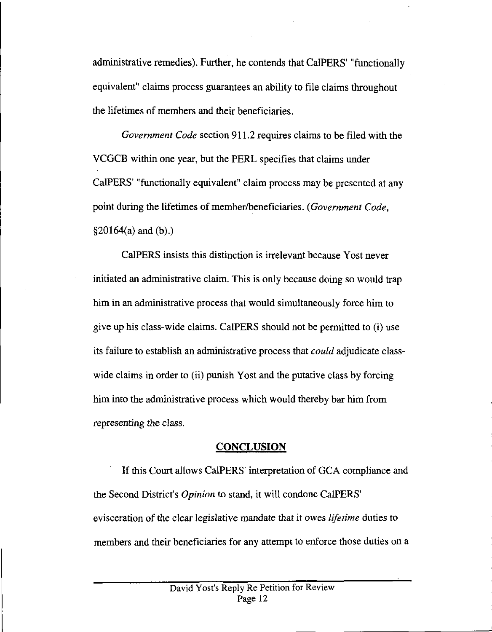administrative remedies). Further, he contends that CalPERS' "functionally equivalent" claims process guarantees an ability to file claims throughout the lifetimes of members and their beneficiaries.

*Government Code* section 911.2 requires claims to be filed with the VCGCB within one year, but the PERL specifies that claims under CalPERS' "functionally equivalent" claim process may be presented at any point during the lifetimes of member/beneficiaries. *(Government Code,*  $§20164(a)$  and (b).)

CalPERS insists this distinction is irrelevant because Yost never initiated an administrative claim. This is only because doing so would trap him in an administrative process that would simultaneously force him to give up his class-wide claims. CalPERS should not be permitted to (i) use its failure to establish an administrative process that *could* adjudicate classwide claims in order to (ii) punish Yost and the putative class by forcing him into the administrative process which would thereby bar him from *representing* the class.

### CONCLUSION

If this Court allows CalPERS' interpretation of GCA compliance and the Second District's *Opinion* to stand, it will condone CalPERS' evisceration of the clear legislative mandate that it owes *lifetime* duties to members and their beneficiaries for any attempt to enforce those duties on a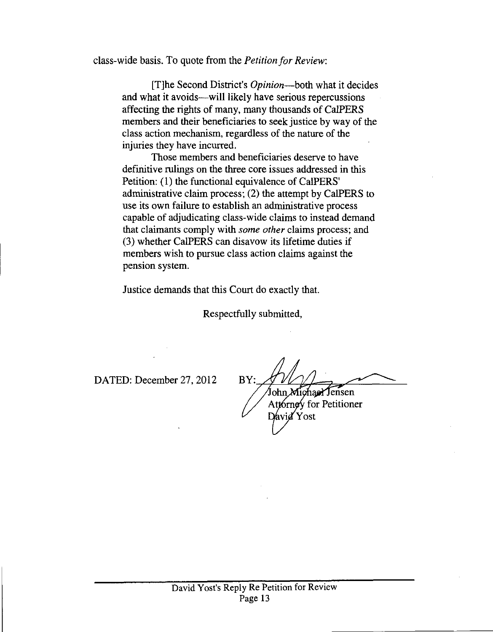class-wide basis. To quote from the *Petition for Review:*

[T]he Second District's *Opinion—both* what it decides and what it avoids—will likely have serious repercussions affecting the rights of many, many thousands of CalPERS members and their beneficiaries to seek justice by way of the class action mechanism, regardless of the nature of the injuries they have incurred.

Those members and beneficiaries deserve to have definitive rulings on the three core issues addressed in this Petition: (1) the functional equivalence of CalPERS' administrative claim process; (2) the attempt by CalPERS to use its own failure to establish an administrative process capable of adjudicating class-wide claims to instead demand that claimants comply with *some other* claims process; and (3) whether CalPERS can disavow its lifetime duties if members wish to pursue class action claims against the pension system.

Justice demands that this Court do exactly that.

Respectfully submitted,

DATED: December 27, 2012 BY:

*•*

David Yost John Michael Jensen Attornoy for Petitioner<br>David Yost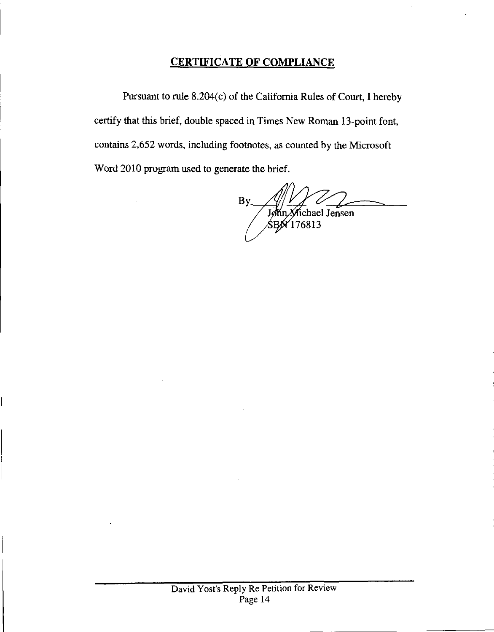## **CERTIFICATE OF COMPLIANCE**

Pursuant to rule 8.204(c) of the California Rules of Court, I hereby certify that this brief, double spaced in Times New Roman 13-point font, contains 2,652 words, including footnotes, as counted by the Microsoft Word 2010 program used to generate the brief.

By Albert V<br>John Michael Jensen<br>**5BN 176813**